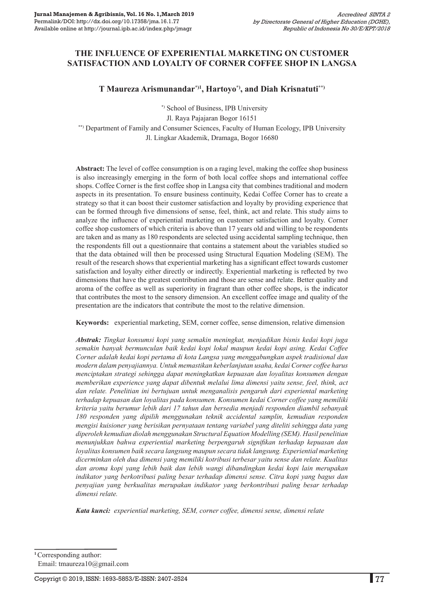# **THE INFLUENCE OF EXPERIENTIAL MARKETING ON CUSTOMER SATISFACTION AND LOYALTY OF CORNER COFFEE SHOP IN LANGSA**

## **T Maureza Arismunandar\*)1, Hartoyo\*), and Diah Krisnatuti\*\*)**

\*) School of Business, IPB University

Jl. Raya Pajajaran Bogor 16151

\*\*) Department of Family and Consumer Sciences, Faculty of Human Ecology, IPB University Jl. Lingkar Akademik, Dramaga, Bogor 16680

**Abstract:** The level of coffee consumption is on a raging level, making the coffee shop business is also increasingly emerging in the form of both local coffee shops and international coffee shops. Coffee Corner is the first coffee shop in Langsa city that combines traditional and modern aspects in its presentation. To ensure business continuity, Kedai Coffee Corner has to create a strategy so that it can boost their customer satisfaction and loyalty by providing experience that can be formed through five dimensions of sense, feel, think, act and relate. This study aims to analyze the influence of experiential marketing on customer satisfaction and loyalty. Corner coffee shop customers of which criteria is above than 17 years old and willing to be respondents are taken and as many as 180 respondents are selected using accidental sampling technique, then the respondents fill out a questionnaire that contains a statement about the variables studied so that the data obtained will then be processed using Structural Equation Modeling (SEM). The result of the research shows that experiential marketing has a significant effect towards customer satisfaction and loyalty either directly or indirectly. Experiential marketing is reflected by two dimensions that have the greatest contribution and those are sense and relate. Better quality and aroma of the coffee as well as superiority in fragrant than other coffee shops, is the indicator that contributes the most to the sensory dimension. An excellent coffee image and quality of the presentation are the indicators that contribute the most to the relative dimension.

**Keywords:** experiential marketing, SEM, corner coffee, sense dimension, relative dimension

*Abstrak: Tingkat konsumsi kopi yang semakin meningkat, menjadikan bisnis kedai kopi juga semakin banyak bermunculan baik kedai kopi lokal maupun kedai kopi asing. Kedai Coffee Corner adalah kedai kopi pertama di kota Langsa yang menggabungkan aspek tradisional dan modern dalam penyajiannya. Untuk memastikan keberlanjutan usaha, kedai Corner coffee harus menciptakan strategi sehingga dapat meningkatkan kepuasan dan loyalitas konsumen dengan memberikan experience yang dapat dibentuk melalui lima dimensi yaitu sense, feel, think, act dan relate. Penelitian ini bertujuan untuk menganalisis pengaruh dari experiental marketing terhadap kepuasan dan loyalitas pada konsumen. Konsumen kedai Corner coffee yang memiliki kriteria yaitu berumur lebih dari 17 tahun dan bersedia menjadi responden diambil sebanyak 180 responden yang dipilih menggunakan teknik accidental samplin, kemudian responden mengisi kuisioner yang berisikan pernyataan tentang variabel yang diteliti sehingga data yang diperoleh kemudian diolah menggunakan Structural Equation Modelling (SEM). Hasil penelitian menunjukkan bahwa experiential marketing berpengaruh signifikan terhadap kepuasan dan loyalitas konsumen baik secara langsung maupun secara tidak langsung. Experiential marketing dicerminkan oleh dua dimensi yang memiliki kotribusi terbesar yaitu sense dan relate. Kualitas dan aroma kopi yang lebih baik dan lebih wangi dibandingkan kedai kopi lain merupakan indikator yang berkotribusi paling besar terhadap dimensi sense. Citra kopi yang bagus dan penyajian yang berkualitas merupakan indikator yang berkontribusi paling besar terhadap dimensi relate.*

*Kata kunci: experiential marketing, sem, corner coffee, dimensi sense, dimensi relate*

**<sup>1</sup>**Corresponding author: Email: tmaureza10@gmail.com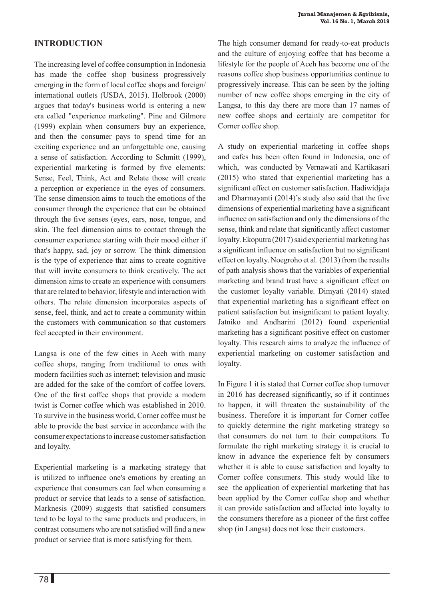# **Introduction**

The increasing level of coffee consumption in Indonesia has made the coffee shop business progressively emerging in the form of local coffee shops and foreign/ international outlets (USDA, 2015). Holbrook (2000) argues that today's business world is entering a new era called "experience marketing". Pine and Gilmore (1999) explain when consumers buy an experience, and then the consumer pays to spend time for an exciting experience and an unforgettable one, causing a sense of satisfaction. According to Schmitt (1999), experiential marketing is formed by five elements: Sense, Feel, Think, Act and Relate those will create a perception or experience in the eyes of consumers. The sense dimension aims to touch the emotions of the consumer through the experience that can be obtained through the five senses (eyes, ears, nose, tongue, and skin. The feel dimension aims to contact through the consumer experience starting with their mood either if that's happy, sad, joy or sorrow. The think dimension is the type of experience that aims to create cognitive that will invite consumers to think creatively. The act dimension aims to create an experience with consumers that are related to behavior, lifestyle and interaction with others. The relate dimension incorporates aspects of sense, feel, think, and act to create a community within the customers with communication so that customers feel accepted in their environment.

Langsa is one of the few cities in Aceh with many coffee shops, ranging from traditional to ones with modern facilities such as internet; television and music are added for the sake of the comfort of coffee lovers. One of the first coffee shops that provide a modern twist is Corner coffee which was established in 2010. To survive in the business world, Corner coffee must be able to provide the best service in accordance with the consumer expectations to increase customer satisfaction and loyalty.

Experiential marketing is a marketing strategy that is utilized to influence one's emotions by creating an experience that consumers can feel when consuming a product or service that leads to a sense of satisfaction. Marknesis (2009) suggests that satisfied consumers tend to be loyal to the same products and producers, in contrast consumers who are not satisfied will find a new product or service that is more satisfying for them.

The high consumer demand for ready-to-eat products and the culture of enjoying coffee that has become a lifestyle for the people of Aceh has become one of the reasons coffee shop business opportunities continue to progressively increase. This can be seen by the jolting number of new coffee shops emerging in the city of Langsa, to this day there are more than 17 names of new coffee shops and certainly are competitor for Corner coffee shop.

A study on experiential marketing in coffee shops and cafes has been often found in Indonesia, one of which, was conducted by Vernawati and Kartikasari (2015) who stated that experiential marketing has a significant effect on customer satisfaction. Hadiwidjaja and Dharmayanti (2014)'s study also said that the five dimensions of experiential marketing have a significant influence on satisfaction and only the dimensions of the sense, think and relate that significantly affect customer loyalty. Ekoputra (2017) said experiential marketing has a significant influence on satisfaction but no significant effect on loyalty. Noegroho et al. (2013) from the results of path analysis shows that the variables of experiential marketing and brand trust have a significant effect on the customer loyalty variable. Dimyati (2014) stated that experiential marketing has a significant effect on patient satisfaction but insignificant to patient loyalty. Jatniko and Andharini (2012) found experiential marketing has a significant positive effect on customer loyalty. This research aims to analyze the influence of experiential marketing on customer satisfaction and loyalty.

In Figure 1 it is stated that Corner coffee shop turnover in 2016 has decreased significantly, so if it continues to happen, it will threaten the sustainability of the business. Therefore it is important for Corner coffee to quickly determine the right marketing strategy so that consumers do not turn to their competitors. To formulate the right marketing strategy it is crucial to know in advance the experience felt by consumers whether it is able to cause satisfaction and loyalty to Corner coffee consumers. This study would like to see the application of experiential marketing that has been applied by the Corner coffee shop and whether it can provide satisfaction and affected into loyalty to the consumers therefore as a pioneer of the first coffee shop (in Langsa) does not lose their customers.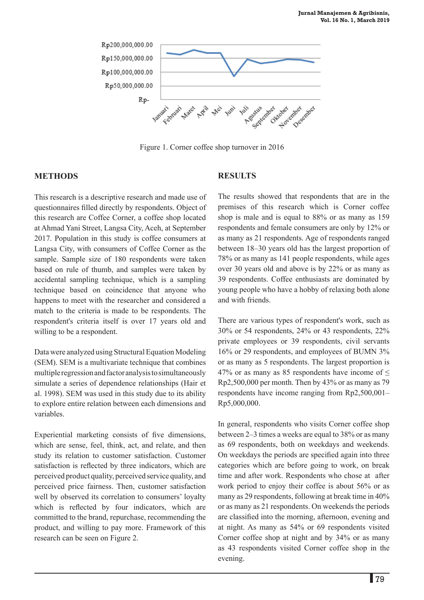

Figure 1. Corner coffee shop turnover in 2016

## **METHODS**

This research is a descriptive research and made use of questionnaires filled directly by respondents. Object of this research are Coffee Corner, a coffee shop located at Ahmad Yani Street, Langsa City, Aceh, at September 2017. Population in this study is coffee consumers at Langsa City, with consumers of Coffee Corner as the sample. Sample size of 180 respondents were taken based on rule of thumb, and samples were taken by accidental sampling technique, which is a sampling technique based on coincidence that anyone who happens to meet with the researcher and considered a match to the criteria is made to be respondents. The respondent's criteria itself is over 17 years old and willing to be a respondent.

Data were analyzed using Structural Equation Modeling (SEM). SEM is a multivariate technique that combines multiple regression and factor analysis to simultaneously simulate a series of dependence relationships (Hair et al. 1998). SEM was used in this study due to its ability to explore entire relation between each dimensions and variables.

Experiential marketing consists of five dimensions, which are sense, feel, think, act, and relate, and then study its relation to customer satisfaction. Customer satisfaction is reflected by three indicators, which are perceived product quality, perceived service quality, and perceived price fairness. Then, customer satisfaction well by observed its correlation to consumers' loyalty which is reflected by four indicators, which are committed to the brand, repurchase, recommending the product, and willing to pay more. Framework of this research can be seen on Figure 2.

# **results**

The results showed that respondents that are in the premises of this research which is Corner coffee shop is male and is equal to 88% or as many as 159 respondents and female consumers are only by 12% or as many as 21 respondents. Age of respondents ranged between 18–30 years old has the largest proportion of 78% or as many as 141 people respondents, while ages over 30 years old and above is by 22% or as many as 39 respondents. Coffee enthusiasts are dominated by young people who have a hobby of relaxing both alone and with friends.

There are various types of respondent's work, such as 30% or 54 respondents, 24% or 43 respondents, 22% private employees or 39 respondents, civil servants 16% or 29 respondents, and employees of BUMN 3% or as many as 5 respondents. The largest proportion is 47% or as many as 85 respondents have income of  $\leq$ Rp2,500,000 per month. Then by 43% or as many as 79 respondents have income ranging from Rp2,500,001– Rp5,000,000.

In general, respondents who visits Corner coffee shop between 2–3 times a weeks are equal to 38% or as many as 69 respondents, both on weekdays and weekends. On weekdays the periods are specified again into three categories which are before going to work, on break time and after work. Respondents who chose at after work period to enjoy their coffee is about 56% or as many as 29 respondents, following at break time in 40% or as many as 21 respondents. On weekends the periods are classified into the morning, afternoon, evening and at night. As many as 54% or 69 respondents visited Corner coffee shop at night and by 34% or as many as 43 respondents visited Corner coffee shop in the evening.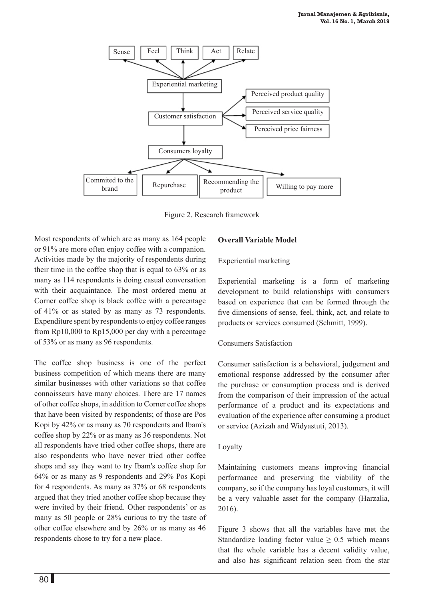

Figure 2. Research framework

Most respondents of which are as many as 164 people or 91% are more often enjoy coffee with a companion. Activities made by the majority of respondents during their time in the coffee shop that is equal to 63% or as many as 114 respondents is doing casual conversation with their acquaintance. The most ordered menu at Corner coffee shop is black coffee with a percentage of 41% or as stated by as many as 73 respondents. Expenditure spent by respondents to enjoy coffee ranges from Rp10,000 to Rp15,000 per day with a percentage of 53% or as many as 96 respondents.

The coffee shop business is one of the perfect business competition of which means there are many similar businesses with other variations so that coffee connoisseurs have many choices. There are 17 names of other coffee shops, in addition to Corner coffee shops that have been visited by respondents; of those are Pos Kopi by 42% or as many as 70 respondents and Ibam's coffee shop by 22% or as many as 36 respondents. Not all respondents have tried other coffee shops, there are also respondents who have never tried other coffee shops and say they want to try Ibam's coffee shop for 64% or as many as 9 respondents and 29% Pos Kopi for 4 respondents. As many as 37% or 68 respondents argued that they tried another coffee shop because they were invited by their friend. Other respondents' or as many as 50 people or 28% curious to try the taste of other coffee elsewhere and by 26% or as many as 46 respondents chose to try for a new place.

## **Overall Variable Model**

#### Experiential marketing

Experiential marketing is a form of marketing development to build relationships with consumers based on experience that can be formed through the five dimensions of sense, feel, think, act, and relate to products or services consumed (Schmitt, 1999).

## Consumers Satisfaction

Consumer satisfaction is a behavioral, judgement and emotional response addressed by the consumer after the purchase or consumption process and is derived from the comparison of their impression of the actual performance of a product and its expectations and evaluation of the experience after consuming a product or service (Azizah and Widyastuti, 2013).

#### Loyalty

Maintaining customers means improving financial performance and preserving the viability of the company, so if the company has loyal customers, it will be a very valuable asset for the company (Harzalia, 2016).

Figure 3 shows that all the variables have met the Standardize loading factor value  $\geq 0.5$  which means that the whole variable has a decent validity value, and also has significant relation seen from the star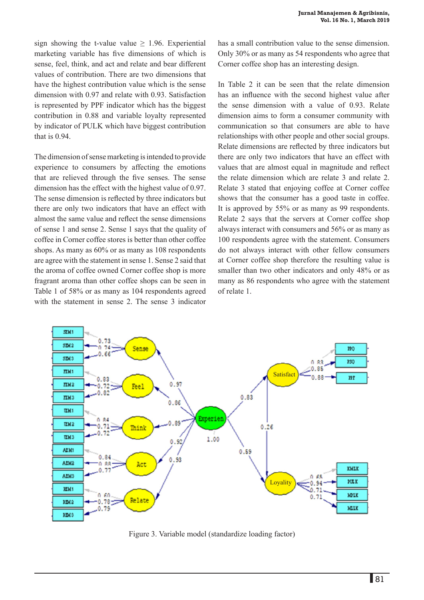sign showing the t-value value  $\geq$  1.96. Experiential marketing variable has five dimensions of which is sense, feel, think, and act and relate and bear different values of contribution. There are two dimensions that have the highest contribution value which is the sense dimension with 0.97 and relate with 0.93. Satisfaction is represented by PPF indicator which has the biggest contribution in 0.88 and variable loyalty represented by indicator of PULK which have biggest contribution that is 0.94.

The dimension of sense marketing is intended to provide experience to consumers by affecting the emotions that are relieved through the five senses. The sense dimension has the effect with the highest value of 0.97. The sense dimension is reflected by three indicators but there are only two indicators that have an effect with almost the same value and reflect the sense dimensions of sense 1 and sense 2. Sense 1 says that the quality of coffee in Corner coffee stores is better than other coffee shops. As many as 60% or as many as 108 respondents are agree with the statement in sense 1. Sense 2 said that the aroma of coffee owned Corner coffee shop is more fragrant aroma than other coffee shops can be seen in Table 1 of 58% or as many as 104 respondents agreed with the statement in sense 2. The sense 3 indicator has a small contribution value to the sense dimension. Only 30% or as many as 54 respondents who agree that Corner coffee shop has an interesting design.

In Table 2 it can be seen that the relate dimension has an influence with the second highest value after the sense dimension with a value of 0.93. Relate dimension aims to form a consumer community with communication so that consumers are able to have relationships with other people and other social groups. Relate dimensions are reflected by three indicators but there are only two indicators that have an effect with values that are almost equal in magnitude and reflect the relate dimension which are relate 3 and relate 2. Relate 3 stated that enjoying coffee at Corner coffee shows that the consumer has a good taste in coffee. It is approved by 55% or as many as 99 respondents. Relate 2 says that the servers at Corner coffee shop always interact with consumers and 56% or as many as 100 respondents agree with the statement. Consumers do not always interact with other fellow consumers at Corner coffee shop therefore the resulting value is smaller than two other indicators and only 48% or as many as 86 respondents who agree with the statement of relate 1.



Figure 3. Variable model (standardize loading factor)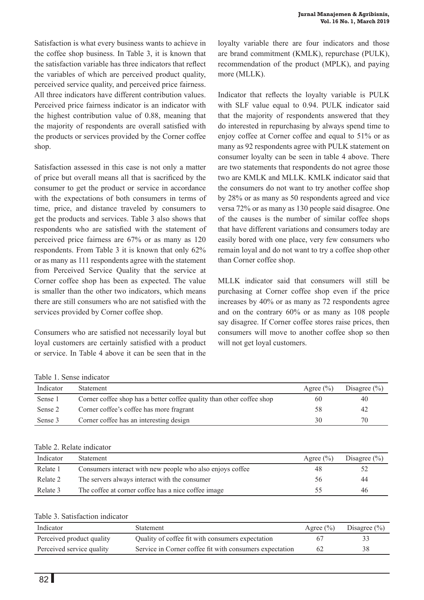Satisfaction is what every business wants to achieve in the coffee shop business. In Table 3, it is known that the satisfaction variable has three indicators that reflect the variables of which are perceived product quality, perceived service quality, and perceived price fairness. All three indicators have different contribution values. Perceived price fairness indicator is an indicator with the highest contribution value of 0.88, meaning that the majority of respondents are overall satisfied with the products or services provided by the Corner coffee shop.

Satisfaction assessed in this case is not only a matter of price but overall means all that is sacrificed by the consumer to get the product or service in accordance with the expectations of both consumers in terms of time, price, and distance traveled by consumers to get the products and services. Table 3 also shows that respondents who are satisfied with the statement of perceived price fairness are 67% or as many as 120 respondents. From Table 3 it is known that only 62% or as many as 111 respondents agree with the statement from Perceived Service Quality that the service at Corner coffee shop has been as expected. The value is smaller than the other two indicators, which means there are still consumers who are not satisfied with the services provided by Corner coffee shop.

Consumers who are satisfied not necessarily loyal but loyal customers are certainly satisfied with a product or service. In Table 4 above it can be seen that in the

loyalty variable there are four indicators and those are brand commitment (KMLK), repurchase (PULK), recommendation of the product (MPLK), and paying more (MLLK).

Indicator that reflects the loyalty variable is PULK with SLF value equal to 0.94. PULK indicator said that the majority of respondents answered that they do interested in repurchasing by always spend time to enjoy coffee at Corner coffee and equal to 51% or as many as 92 respondents agree with PULK statement on consumer loyalty can be seen in table 4 above. There are two statements that respondents do not agree those two are KMLK and MLLK. KMLK indicator said that the consumers do not want to try another coffee shop by 28% or as many as 50 respondents agreed and vice versa 72% or as many as 130 people said disagree. One of the causes is the number of similar coffee shops that have different variations and consumers today are easily bored with one place, very few consumers who remain loyal and do not want to try a coffee shop other than Corner coffee shop.

MLLK indicator said that consumers will still be purchasing at Corner coffee shop even if the price increases by 40% or as many as 72 respondents agree and on the contrary 60% or as many as 108 people say disagree. If Corner coffee stores raise prices, then consumers will move to another coffee shop so then will not get loyal customers.

Table 1. Sense indicator

| Indicator | Statement                                                             | Agree $(\% )$ | Disagree $(\% )$ |
|-----------|-----------------------------------------------------------------------|---------------|------------------|
| Sense 1   | Corner coffee shop has a better coffee quality than other coffee shop | 60            | 40               |
| Sense 2   | Corner coffee's coffee has more fragrant                              | 58            | 42               |
| Sense 3   | Corner coffee has an interesting design                               | 30            | 70               |

#### Table 2. Relate indicator

| Indicator | <b>Statement</b>                                          | Agree $(\% )$ | Disagree $(\% )$ |
|-----------|-----------------------------------------------------------|---------------|------------------|
| Relate 1  | Consumers interact with new people who also enjoys coffee | 48            |                  |
| Relate 2  | The servers always interact with the consumer             | 56            | 44               |
| Relate 3  | The coffee at corner coffee has a nice coffee image       | 55            | 46               |

## Table 3. Satisfaction indicator

| Indicator                 | <b>Statement</b>                                        | Agree $(\% )$ | Disagree $(\% )$ |
|---------------------------|---------------------------------------------------------|---------------|------------------|
| Perceived product quality | Quality of coffee fit with consumers expectation        |               |                  |
| Perceived service quality | Service in Corner coffee fit with consumers expectation | 62            | 38               |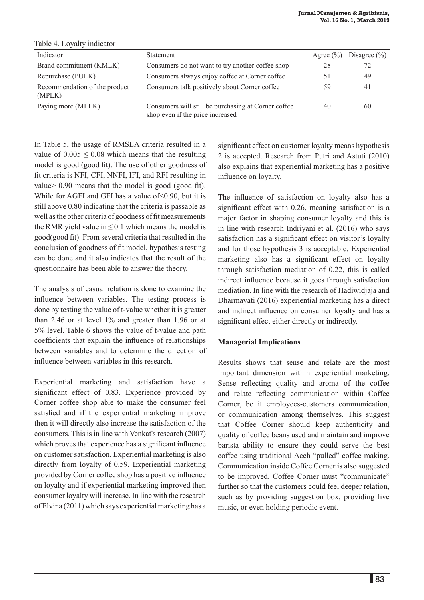| Table 4. Loyally indicator              |                                                                                         |               |                  |
|-----------------------------------------|-----------------------------------------------------------------------------------------|---------------|------------------|
| Indicator                               | Statement                                                                               | Agree $(\% )$ | Disagree $(\% )$ |
| Brand commitment (KMLK)                 | Consumers do not want to try another coffee shop                                        | 28            | 72               |
| Repurchase (PULK)                       | Consumers always enjoy coffee at Corner coffee                                          | 51            | 49               |
| Recommendation of the product<br>(MPLK) | Consumers talk positively about Corner coffee                                           | 59            | 41               |
| Paying more (MLLK)                      | Consumers will still be purchasing at Corner coffee<br>shop even if the price increased | 40            | 60               |

Table 4. Loyalty indicator

In Table 5, the usage of RMSEA criteria resulted in a value of  $0.005 \le 0.08$  which means that the resulting model is good (good fit). The use of other goodness of fit criteria is NFI, CFI, NNFI, IFI, and RFI resulting in value> 0.90 means that the model is good (good fit). While for AGFI and GFI has a value of < 0.90, but it is still above 0.80 indicating that the criteria is passable as well as the other criteria of goodness of fit measurements the RMR yield value in  $\leq 0.1$  which means the model is good(good fit). From several criteria that resulted in the conclusion of goodness of fit model, hypothesis testing can be done and it also indicates that the result of the questionnaire has been able to answer the theory.

The analysis of casual relation is done to examine the influence between variables. The testing process is done by testing the value of t-value whether it is greater than 2.46 or at level 1% and greater than 1.96 or at 5% level. Table 6 shows the value of t-value and path coefficients that explain the influence of relationships between variables and to determine the direction of influence between variables in this research.

Experiential marketing and satisfaction have a significant effect of 0.83. Experience provided by Corner coffee shop able to make the consumer feel satisfied and if the experiential marketing improve then it will directly also increase the satisfaction of the consumers. This is in line with Venkat's research (2007) which proves that experience has a significant influence on customer satisfaction. Experiential marketing is also directly from loyalty of 0.59. Experiential marketing provided by Corner coffee shop has a positive influence on loyalty and if experiential marketing improved then consumer loyalty will increase. In line with the research of Elvina (2011) which says experiential marketing has a

significant effect on customer loyalty means hypothesis 2 is accepted. Research from Putri and Astuti (2010) also explains that experiential marketing has a positive influence on loyalty.

The influence of satisfaction on loyalty also has a significant effect with 0.26, meaning satisfaction is a major factor in shaping consumer loyalty and this is in line with research Indriyani et al. (2016) who says satisfaction has a significant effect on visitor's loyalty and for those hypothesis 3 is acceptable. Experiential marketing also has a significant effect on loyalty through satisfaction mediation of 0.22, this is called indirect influence because it goes through satisfaction mediation. In line with the research of Hadiwidjaja and Dharmayati (2016) experiential marketing has a direct and indirect influence on consumer loyalty and has a significant effect either directly or indirectly.

# **Managerial Implications**

Results shows that sense and relate are the most important dimension within experiential marketing. Sense reflecting quality and aroma of the coffee and relate reflecting communication within Coffee Corner, be it employees-customers communication, or communication among themselves. This suggest that Coffee Corner should keep authenticity and quality of coffee beans used and maintain and improve barista ability to ensure they could serve the best coffee using traditional Aceh "pulled" coffee making. Communication inside Coffee Corner is also suggested to be improved. Coffee Corner must "communicate" further so that the customers could feel deeper relation, such as by providing suggestion box, providing live music, or even holding periodic event.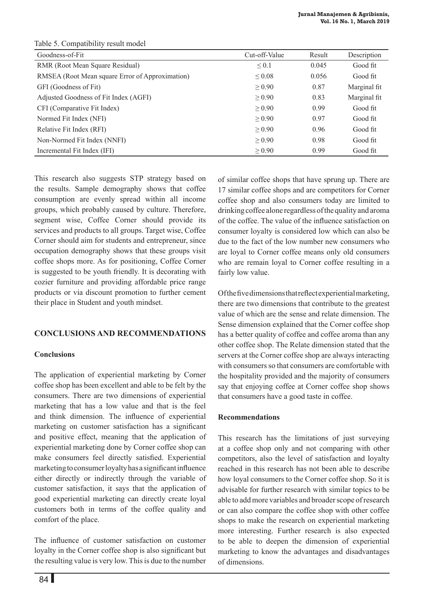| Goodness-of-Fit                                 | Cut-off-Value | Result | Description  |
|-------------------------------------------------|---------------|--------|--------------|
| RMR (Root Mean Square Residual)                 | $\leq 0.1$    | 0.045  | Good fit     |
| RMSEA (Root Mean square Error of Approximation) | $\leq 0.08$   | 0.056  | Good fit     |
| GFI (Goodness of Fit)                           | $\geq 0.90$   | 0.87   | Marginal fit |
| Adjusted Goodness of Fit Index (AGFI)           | $\geq 0.90$   | 0.83   | Marginal fit |
| CFI (Comparative Fit Index)                     | $\geq 0.90$   | 0.99   | Good fit     |
| Normed Fit Index (NFI)                          | $\geq 0.90$   | 0.97   | Good fit     |
| Relative Fit Index (RFI)                        | $\geq 0.90$   | 0.96   | Good fit     |
| Non-Normed Fit Index (NNFI)                     | $\geq 0.90$   | 0.98   | Good fit     |
| Incremental Fit Index (IFI)                     | $\geq 0.90$   | 0.99   | Good fit     |

Table 5. Compatibility result model

This research also suggests STP strategy based on the results. Sample demography shows that coffee consumption are evenly spread within all income groups, which probably caused by culture. Therefore, segment wise, Coffee Corner should provide its services and products to all groups. Target wise, Coffee Corner should aim for students and entrepreneur, since occupation demography shows that these groups visit coffee shops more. As for positioning, Coffee Corner is suggested to be youth friendly. It is decorating with cozier furniture and providing affordable price range products or via discount promotion to further cement their place in Student and youth mindset.

## **Conclusions and Recommendations**

## **Conclusions**

The application of experiential marketing by Corner coffee shop has been excellent and able to be felt by the consumers. There are two dimensions of experiential marketing that has a low value and that is the feel and think dimension. The influence of experiential marketing on customer satisfaction has a significant and positive effect, meaning that the application of experiential marketing done by Corner coffee shop can make consumers feel directly satisfied. Experiential marketing to consumer loyalty has a significant influence either directly or indirectly through the variable of customer satisfaction, it says that the application of good experiential marketing can directly create loyal customers both in terms of the coffee quality and comfort of the place.

The influence of customer satisfaction on customer loyalty in the Corner coffee shop is also significant but the resulting value is very low. This is due to the number of similar coffee shops that have sprung up. There are 17 similar coffee shops and are competitors for Corner coffee shop and also consumers today are limited to drinking coffee alone regardless of the quality and aroma of the coffee. The value of the influence satisfaction on consumer loyalty is considered low which can also be due to the fact of the low number new consumers who are loyal to Corner coffee means only old consumers who are remain loyal to Corner coffee resulting in a fairly low value.

Of the five dimensions that reflect experiential marketing, there are two dimensions that contribute to the greatest value of which are the sense and relate dimension. The Sense dimension explained that the Corner coffee shop has a better quality of coffee and coffee aroma than any other coffee shop. The Relate dimension stated that the servers at the Corner coffee shop are always interacting with consumers so that consumers are comfortable with the hospitality provided and the majority of consumers say that enjoying coffee at Corner coffee shop shows that consumers have a good taste in coffee.

## **Recommendations**

This research has the limitations of just surveying at a coffee shop only and not comparing with other competitors, also the level of satisfaction and loyalty reached in this research has not been able to describe how loyal consumers to the Corner coffee shop. So it is advisable for further research with similar topics to be able to add more variables and broader scope of research or can also compare the coffee shop with other coffee shops to make the research on experiential marketing more interesting. Further research is also expected to be able to deepen the dimension of experiential marketing to know the advantages and disadvantages of dimensions.